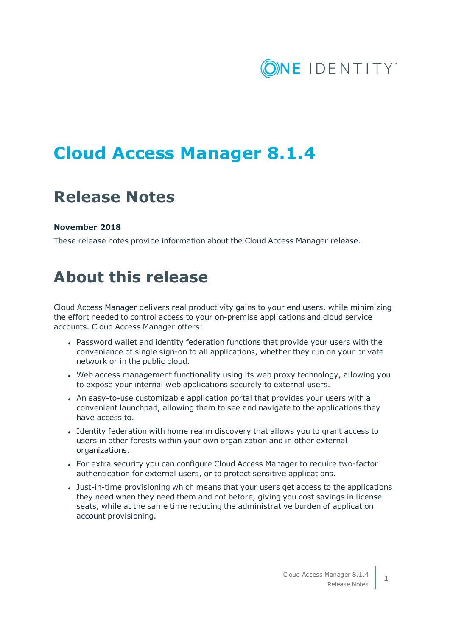

# **Cloud Access Manager 8.1.4**

## **Release Notes**

### **November 2018**

These release notes provide information about the Cloud Access Manager release.

## **About this release**

Cloud Access Manager delivers real productivity gains to your end users, while minimizing the effort needed to control access to your on-premise applications and cloud service accounts. Cloud Access Manager offers:

- Password wallet and identity federation functions that provide your users with the convenience of single sign-on to all applications, whether they run on your private network or in the public cloud.
- Web access management functionality using its web proxy technology, allowing you to expose your internal web applications securely to external users.
- An easy-to-use customizable application portal that provides your users with a convenient launchpad, allowing them to see and navigate to the applications they have access to.
- <sup>l</sup> Identity federation with home realm discovery that allows you to grant access to users in other forests within your own organization and in other external organizations.
- For extra security you can configure Cloud Access Manager to require two-factor authentication for external users, or to protect sensitive applications.
- Just-in-time provisioning which means that your users get access to the applications they need when they need them and not before, giving you cost savings in license seats, while at the same time reducing the administrative burden of application account provisioning.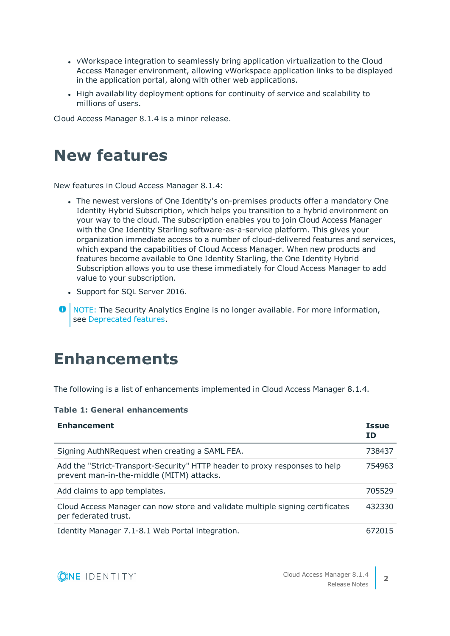- vWorkspace integration to seamlessly bring application virtualization to the Cloud Access Manager environment, allowing vWorkspace application links to be displayed in the application portal, along with other web applications.
- High availability deployment options for continuity of service and scalability to millions of users.

Cloud Access Manager 8.1.4 is a minor release.

### **New features**

New features in Cloud Access Manager 8.1.4:

- The newest versions of One Identity's on-premises products offer a mandatory One Identity Hybrid Subscription, which helps you transition to a hybrid environment on your way to the cloud. The subscription enables you to join Cloud Access Manager with the One Identity Starling software-as-a-service platform. This gives your organization immediate access to a number of cloud-delivered features and services, which expand the capabilities of Cloud Access Manager. When new products and features become available to One Identity Starling, the One Identity Hybrid Subscription allows you to use these immediately for Cloud Access Manager to add value to your subscription.
- Support for SQL Server 2016.

**O** NOTE: The Security Analytics Engine is no longer available. For more information, see [Deprecated](#page-2-0) features.

## **Enhancements**

The following is a list of enhancements implemented in Cloud Access Manager 8.1.4.

### **Table 1: General enhancements**

| <b>Enhancement</b>                                                                                                      | <b>Issue</b><br>ΙD |
|-------------------------------------------------------------------------------------------------------------------------|--------------------|
| Signing AuthNRequest when creating a SAML FEA.                                                                          | 738437             |
| Add the "Strict-Transport-Security" HTTP header to proxy responses to help<br>prevent man-in-the-middle (MITM) attacks. | 754963             |
| Add claims to app templates.                                                                                            | 705529             |
| Cloud Access Manager can now store and validate multiple signing certificates<br>per federated trust.                   | 432330             |
| Identity Manager 7.1-8.1 Web Portal integration.                                                                        | 672015             |



**2**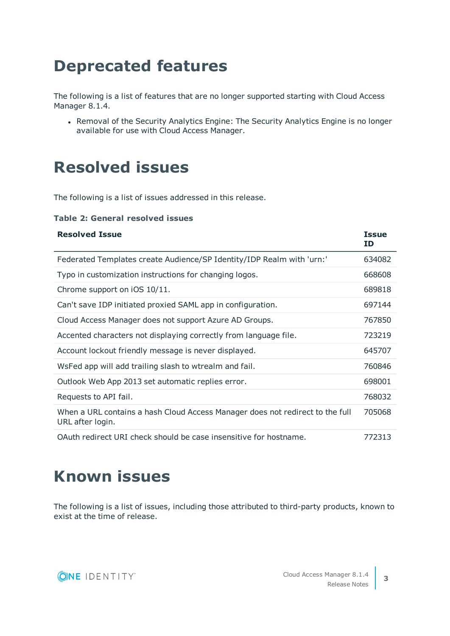# <span id="page-2-0"></span>**Deprecated features**

The following is a list of features that are no longer supported starting with Cloud Access Manager 8.1.4.

• Removal of the Security Analytics Engine: The Security Analytics Engine is no longer available for use with Cloud Access Manager.

## **Resolved issues**

The following is a list of issues addressed in this release.

### **Table 2: General resolved issues**

| <b>Resolved Issue</b>                                                                             | <b>Issue</b><br>ID |
|---------------------------------------------------------------------------------------------------|--------------------|
| Federated Templates create Audience/SP Identity/IDP Realm with 'urn:'                             | 634082             |
| Typo in customization instructions for changing logos.                                            | 668608             |
| Chrome support on iOS 10/11.                                                                      | 689818             |
| Can't save IDP initiated proxied SAML app in configuration.                                       | 697144             |
| Cloud Access Manager does not support Azure AD Groups.                                            | 767850             |
| Accented characters not displaying correctly from language file.                                  | 723219             |
| Account lockout friendly message is never displayed.                                              | 645707             |
| WsFed app will add trailing slash to wtrealm and fail.                                            | 760846             |
| Outlook Web App 2013 set automatic replies error.                                                 | 698001             |
| Requests to API fail.                                                                             | 768032             |
| When a URL contains a hash Cloud Access Manager does not redirect to the full<br>URL after login. | 705068             |
| OAuth redirect URI check should be case insensitive for hostname.                                 | 772313             |

## **Known issues**

The following is a list of issues, including those attributed to third-party products, known to exist at the time of release.

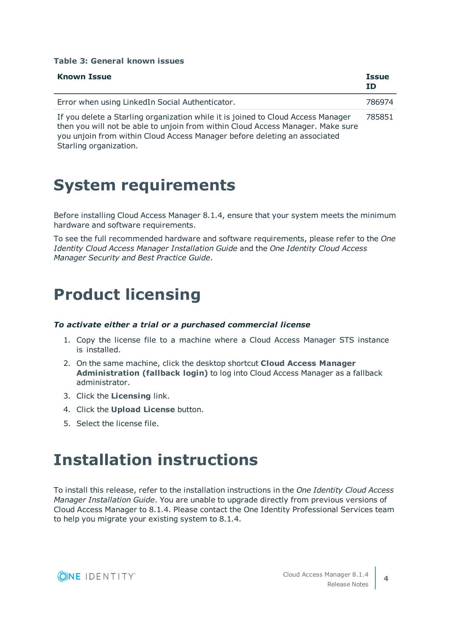#### **Table 3: General known issues**

| <b>Known Issue</b>                                                                                                                                                                                                                               | <b>Issue</b><br><b>ID</b> |
|--------------------------------------------------------------------------------------------------------------------------------------------------------------------------------------------------------------------------------------------------|---------------------------|
| Error when using LinkedIn Social Authenticator.                                                                                                                                                                                                  | 786974                    |
| If you delete a Starling organization while it is joined to Cloud Access Manager<br>then you will not be able to unjoin from within Cloud Access Manager. Make sure<br>you unjoin from within Cloud Access Manager before deleting an associated | 785851                    |

Starling organization.

### **System requirements**

Before installing Cloud Access Manager 8.1.4, ensure that your system meets the minimum hardware and software requirements.

To see the full recommended hardware and software requirements, please refer to the *One Identity Cloud Access Manager Installation Guide* and the *One Identity Cloud Access Manager Security and Best Practice Guide*.

### **Product licensing**

### *To activate either a trial or a purchased commercial license*

- 1. Copy the license file to a machine where a Cloud Access Manager STS instance is installed.
- 2. On the same machine, click the desktop shortcut **Cloud Access Manager Administration (fallback login)** to log into Cloud Access Manager as a fallback administrator.
- 3. Click the **Licensing** link.
- 4. Click the **Upload License** button.
- 5. Select the license file.

### **Installation instructions**

To install this release, refer to the installation instructions in the *One Identity Cloud Access Manager Installation Guide*. You are unable to upgrade directly from previous versions of Cloud Access Manager to 8.1.4. Please contact the One Identity Professional Services team to help you migrate your existing system to 8.1.4.

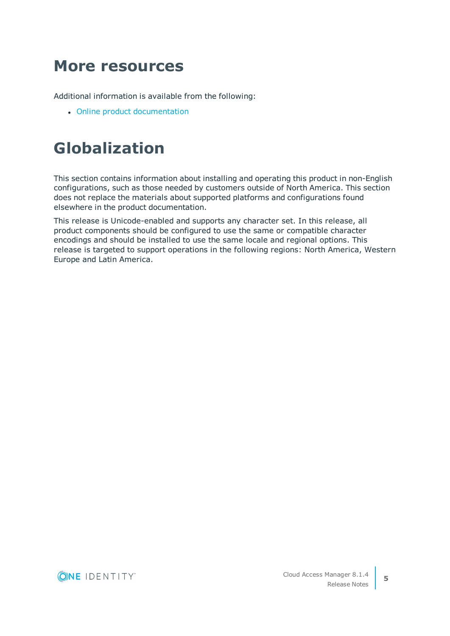## **More resources**

Additional information is available from the following:

• Online product [documentation](https://support.oneidentity.com/cloud-access-manager/technical-documents)

# **Globalization**

This section contains information about installing and operating this product in non-English configurations, such as those needed by customers outside of North America. This section does not replace the materials about supported platforms and configurations found elsewhere in the product documentation.

This release is Unicode-enabled and supports any character set. In this release, all product components should be configured to use the same or compatible character encodings and should be installed to use the same locale and regional options. This release is targeted to support operations in the following regions: North America, Western Europe and Latin America.

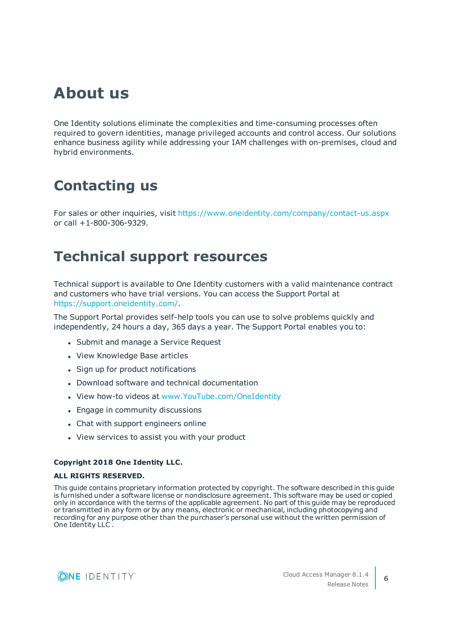## **About us**

One Identity solutions eliminate the complexities and time-consuming processes often required to govern identities, manage privileged accounts and control access. Our solutions enhance business agility while addressing your IAM challenges with on-premises, cloud and hybrid environments.

### **Contacting us**

For sales or other inquiries, visit <https://www.oneidentity.com/company/contact-us.aspx> or call +1-800-306-9329.

### **Technical support resources**

Technical support is available to One Identity customers with a valid maintenance contract and customers who have trial versions. You can access the Support Portal at [https://support.oneidentity.com/.](https://support.oneidentity.com/)

The Support Portal provides self-help tools you can use to solve problems quickly and independently, 24 hours a day, 365 days a year. The Support Portal enables you to:

- Submit and manage a Service Request
- View Knowledge Base articles
- Sign up for product notifications
- Download software and technical documentation
- View how-to videos at [www.YouTube.com/OneIdentity](http://www.youtube.com/OneIdentity)
- Engage in community discussions
- Chat with support engineers online
- View services to assist you with your product

#### **Copyright 2018 One Identity LLC.**

#### **ALL RIGHTS RESERVED.**

This guide contains proprietary information protected by copyright. The software described in this guide is furnished under a software license or nondisclosure agreement. This software may be used or copied only in accordance with the terms of the applicable agreement. No part of this guide may be reproduced or transmitted in any form or by any means, electronic or mechanical, including photocopying and recording for any purpose other than the purchaser's personal use without the written permission of One Identity LLC .